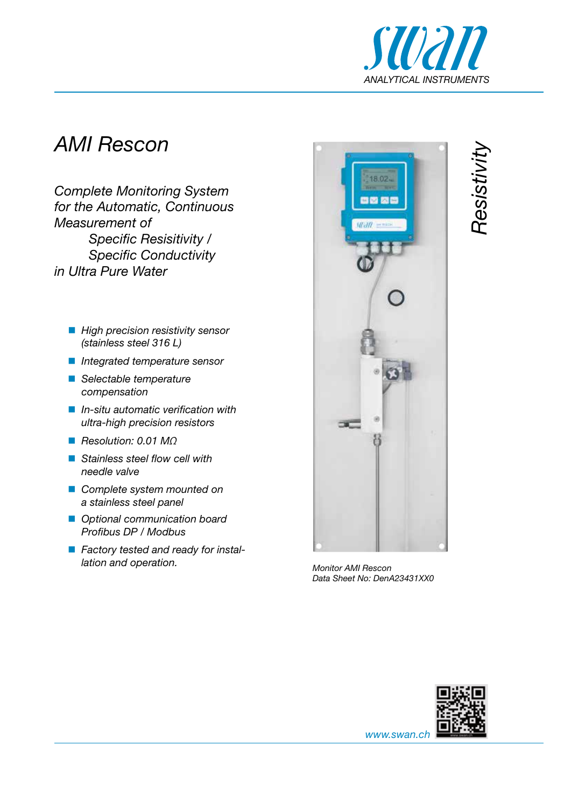

*Resistivity*

## *AMI Rescon*

*Complete Monitoring System for the Automatic, Continuous Measurement of Specific Resisitivity / Specific Conductivity in Ultra Pure Water*

- **High precision resistivity sensor** *(stainless steel 316 L)*
- *Integrated temperature sensor*
- *Selectable temperature compensation*
- *In-situ automatic verification with ultra-high precision resistors*
- *Resolution: 0.01 MΩ*
- *Stainless steel flow cell with needle valve*
- *Complete system mounted on a stainless steel panel*
- *Optional communication board Profibus DP / Modbus*
- *Factory tested and ready for installation and operation.* Monitor AMI Rescon



*Data Sheet No: DenA23431XX0*



*www.swan.ch*